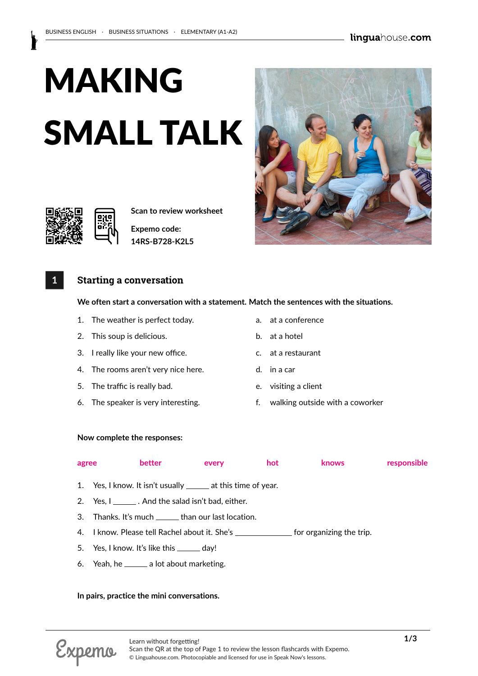# MAKING SMALL TALK



**Scan to review worksheet** 

**Expemo code: 14RS-B728-K2L5**

# **1 Starting a conversation**

# **We often start a conversation with a statement. Match the sentences with the situations.**

- 1. The weather is perfect today. The same state of a state of the weather is perfect today.
- 2. This soup is delicious. b. at a hotel
- 3. I really like your new office. The same c. at a restaurant
- 4. The rooms aren't very nice here. d. in a car
- 5. The traffic is really bad. The strain is really bad.
- 
- 
- 
- 
- 
- 
- 6. The speaker is very interesting. f. walking outside with a coworker

### **Now complete the responses:**

| agree | better                                                                                   | every | hot | <b>knows</b> | responsible |
|-------|------------------------------------------------------------------------------------------|-------|-----|--------------|-------------|
|       | 1. Yes, I know. It isn't usually <u>_____</u> at this time of year.                      |       |     |              |             |
|       | 2. Yes, $I_{\text{max}}$ . And the salad isn't bad, either.                              |       |     |              |             |
|       | 3. Thanks. It's much _______ than our last location.                                     |       |     |              |             |
|       | 4. I know. Please tell Rachel about it. She's _________________ for organizing the trip. |       |     |              |             |
|       | 5. Yes, I know. It's like this ______ day!                                               |       |     |              |             |

6. Yeah, he  $\_\_\_\$ a lot about marketing.

# **In pairs, practice the mini conversations.**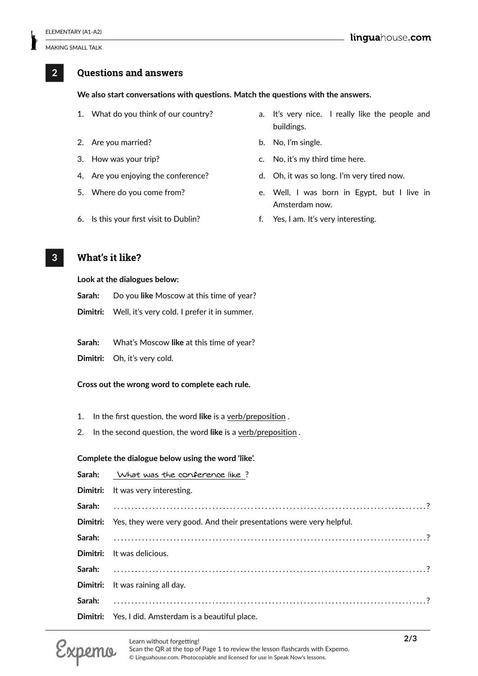# **2 Questions and answers**

# **We also start conversations with questions. Match the questions with the answers.**

- 
- 2. Are you married? b. No, I'm single.
- 
- 
- 
- 6. Is this your first visit to Dublin? f. Yes, I am. It's very interesting.
- 1. What do you think of our country? a. It's very nice. I really like the people and buildings.
	-
- 3. How was your trip? The same c. No, it's my third time here.
- 4. Are you enjoying the conference? d. Oh, it was so long. I'm very tired now.
- 5. Where do you come from? e. Well, I was born in Egypt, but I live in Amsterdam now.
	-

# **3 What's it like?**

#### **Look at the dialogues below:**

- **Sarah:** Do you **like** Moscow at this time of year?
- **Dimitri:** Well, it's very cold. I prefer it in summer.

**Sarah:** What's Moscow **like** at this time of year?

**Dimitri:** Oh, it's very cold.

#### **Cross out the wrong word to complete each rule.**

- 1. In the first question, the word **like** is a verb/preposition .
- 2. In the second question, the word **like** is a verb/preposition .

#### **Complete the dialogue below using the word 'like'.**

| Sarah: What was the conference like?                                          |
|-------------------------------------------------------------------------------|
| Dimitri: It was very interesting.                                             |
|                                                                               |
| Dimitri: Yes, they were very good. And their presentations were very helpful. |
|                                                                               |
| <b>Dimitri:</b> It was delicious.                                             |
|                                                                               |
| Dimitri: It was raining all day.                                              |
|                                                                               |
| Dimitri: Yes, I did. Amsterdam is a beautiful place.                          |

Scan the QR at the top of Page 1 to review the lesson flashcards with Expemo. © Linguahouse.com. Photocopiable and licensed for use in Speak Now's lessons.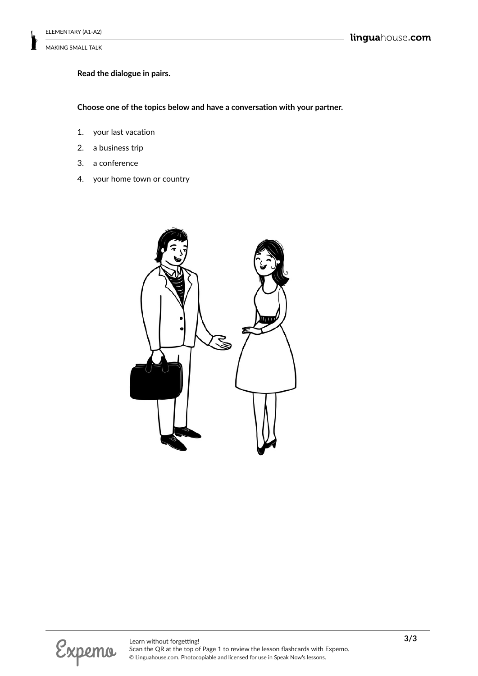# **Read the dialogue in pairs.**

**Choose one of the topics below and have a conversation with your partner.**

- 1. your last vacation
- 2. a business trip
- 3. a conference
- 4. your home town or country